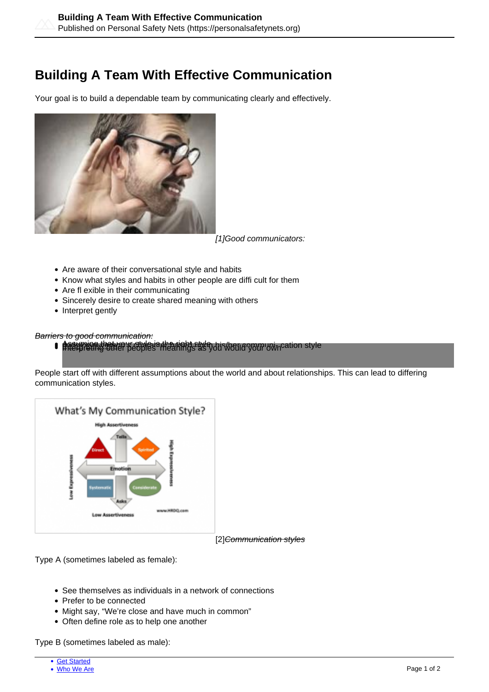## **Building A Team With Effective Communication**

Your goal is to build a dependable team by communicating clearly and effectively.



[1]Good communicators:

- Are aware of their conversational style and habits
- Know what styles and habits in other people are diffi cult for them
- Are fl exible in their communicating
- Sincerely desire to create shared meaning with others
- Interpret gently

## Barriers to good communication:

**B** the right style is the right style interpreting a person of the right style interpreting other peoples in flexible interpreting other peoples in the peoples in the peoples of the peoples as you would your own cation st

People start off with different assumptions about the world and about relationships. This can lead to differing communication styles.



Type A (sometimes labeled as female):

- See themselves as individuals in a network of connections
- Prefer to be connected
- Might say, "We're close and have much in common"
- Often define role as to help one another

Type B (sometimes labeled as male):